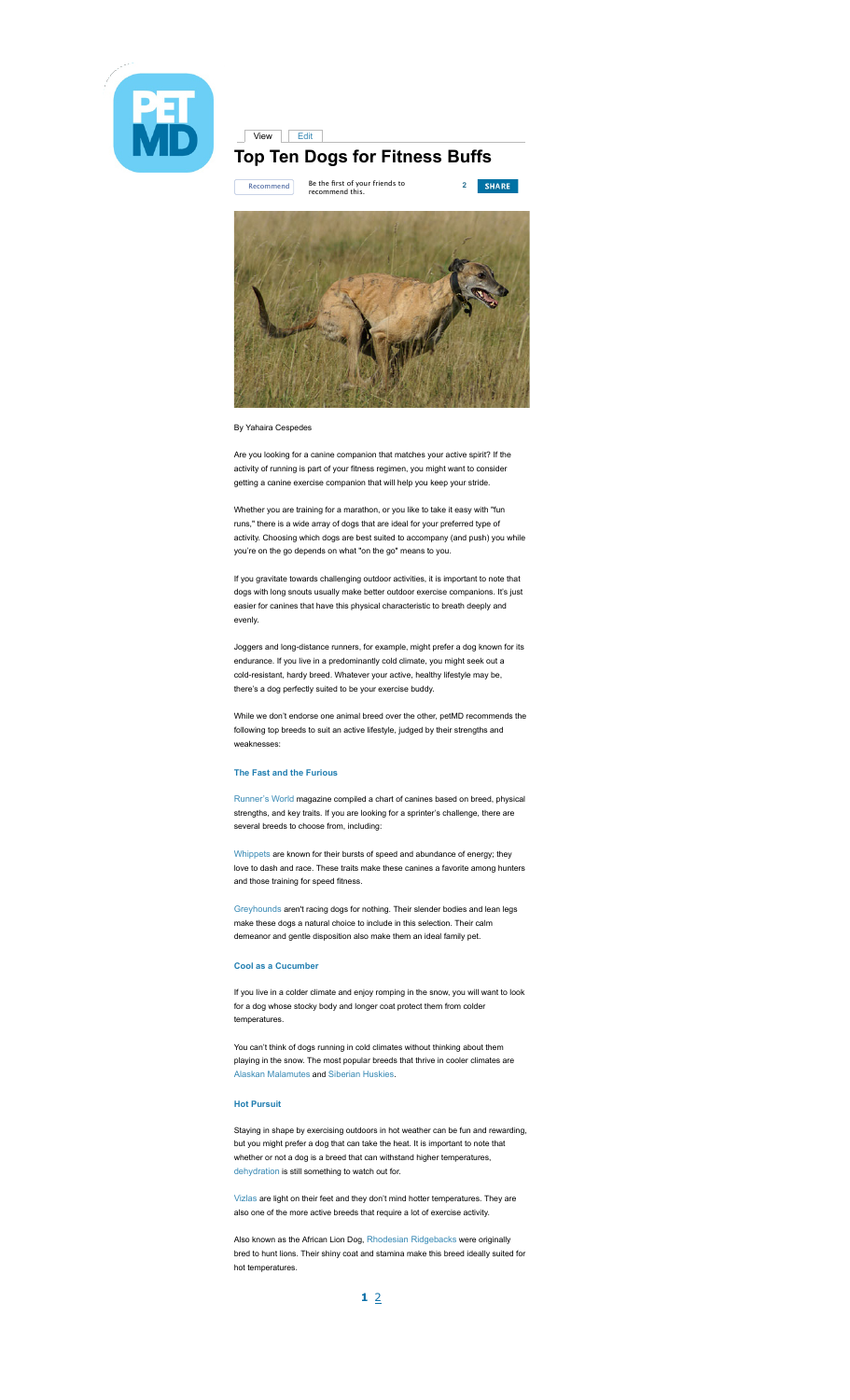

# View Edit **Top Ten Dogs for Fitness Buffs**



### By Yahaira Cespedes

Are you looking for a canine companion that matches your active spirit? If the activity of running is part of your fitness regimen, you might want to consider getting a canine exercise companion that will help you keep your stride.

Whether you are training for a marathon, or you like to take it easy with "fun runs," there is a wide array of dogs that are ideal for your preferred type of activity. Choosing which dogs are best suited to accompany (and push) you while you're on the go depends on what "on the go" means to you.

If you gravitate towards challenging outdoor activities, it is important to note that dogs with long snouts usually make better outdoor exercise companions. It's just easier for canines that have this physical characteristic to breath deeply and evenly.

Joggers and long-distance runners, for example, might prefer a dog known for its endurance. If you live in a predominantly cold climate, you might seek out a cold-resistant, hardy breed. Whatever your active, healthy lifestyle may be, there's a dog perfectly suited to be your exercise buddy.

While we don't endorse one animal breed over the other, petMD recommends the following top breeds to suit an active lifestyle, judged by their strengths and weaknesses:

## **The Fast and the Furious**

Runner's World magazine compiled a chart of canines based on breed, physical strengths, and key traits. If you are looking for a sprinter's challenge, there are several breeds to choose from, including:

Whippets are known for their bursts of speed and abundance of energy; they love to dash and race. These traits make these canines a favorite among hunters and those training for speed fitness.

Greyhounds aren't racing dogs for nothing. Their slender bodies and lean legs make these dogs a natural choice to include in this selection. Their calm demeanor and gentle disposition also make them an ideal family pet.

## **Cool as a Cucumber**

If you live in a colder climate and enjoy romping in the snow, you will want to look for a dog whose stocky body and longer coat protect them from colder temperatures.

You can't think of dogs running in cold climates without thinking about them playing in the snow. The most popular breeds that thrive in cooler climates are Alaskan Malamutes and Siberian Huskies.

#### **Hot Pursuit**

Staying in shape by exercising outdoors in hot weather can be fun and rewarding, but you might prefer a dog that can take the heat. It is important to note that whether or not a dog is a breed that can withstand higher temperatures, dehydration is still something to watch out for.

Vizlas are light on their feet and they don't mind hotter temperatures. They are also one of the more active breeds that require a lot of exercise activity.

Also known as the African Lion Dog, Rhodesian Ridgebacks were originally bred to hunt lions. Their shiny coat and stamina make this breed ideally suited for hot temperatures.